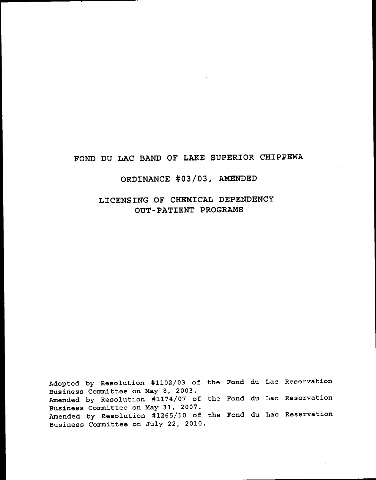# FOND DU LAC BAND OF LAKE SUPERIOR CHIPPEWA

# oRDTNANCE #03/03, AMENDED

## LICENSING OF CHEMICAL DEPENDENCY OUT-PATIENT PROGRAMS

Adopted by Resolution #1102/03 of the Fond du Lac Reservati Business Committee on May 8, 2003. Amended by Resolution #1174/07 of the Fond du Lac Reservati Business Committee on MaY 31, 2007. Amended by Resolution #1265/10 of the Fond du Lac Reservati Business Committee on July 22, 2010.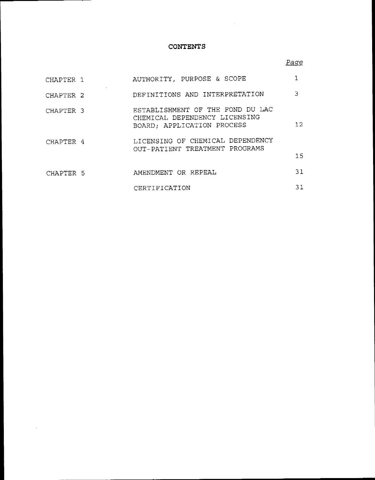### **CONTENTS**

## Page

| CHAPTER 1            | AUTHORITY, PURPOSE & SCOPE                                                                      |     |
|----------------------|-------------------------------------------------------------------------------------------------|-----|
| CHAPTER <sub>2</sub> | DEFINITIONS AND INTERPRETATION                                                                  | 3   |
| CHAPTER <sub>3</sub> | ESTABLISHMENT OF THE FOND DU LAC<br>CHEMICAL DEPENDENCY LICENSING<br>BOARD; APPLICATION PROCESS | 12. |
| CHAPTER 4            | LICENSING OF CHEMICAL DEPENDENCY<br>OUT-PATIENT TREATMENT PROGRAMS                              | 15. |
| CHAPTER 5            | AMENDMENT OR REPEAL                                                                             | 31  |
|                      | CERTIFICATION                                                                                   | 31  |

 $\sim 10^{11}$  km  $^{-1}$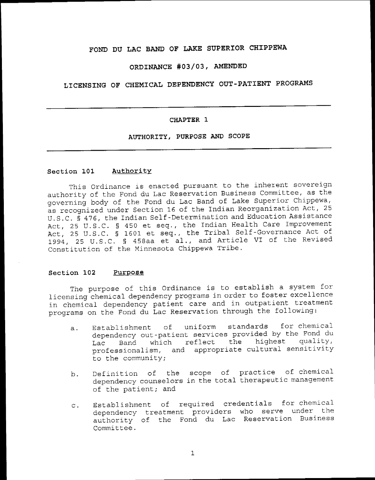## FOND DU LAC BAND OF LAKE SUPERIOR CHIPPEWA

### ORDINANCE #03/03, AMENDED

## LICENSING OF CHEMICAL DEPENDENCY OUT-PATIENT PROGRAMS

### CHAPTER 1

### AUTHORITY, PURPOSE AND SCOPE

#### Section 101 Authority

This Ordinance is enacted pursuant to the inherent sovereign authority of the Fond du Lac Reservation Business Committee, as the governing body of the Fond du Lac Band of Lake Superior Chippewa, as recognized under Section 16 of the Indian Reorganization Act, 25 U.S.C. § 476, the Indian Self-Determination and Education Assistance Act, 25 U.S.C. § 450 et seq., the Indian Health Care Improvement Act, 25 U.S.C. § 1601 et seq., the Tribal Self-Governance Act of 1994, 25 U.S.C. § 458aa et al., and Article VI of the Revised Constitution of the Minnesota Chippewa Tribe.

#### Section 102 Purpose

The purpose of this Ordinance is to establish a system for licensing chemical dependency programs in order to foster excellence in chemical dependency patient care and in outpatient treatment programs on the Fond du Lac Reservation through the following:

- Establishment of uniform standards for chemical  $\overline{a}$ . dependency out-patient services provided by the Fond du the highest quality, reflect Band which Lac professionalism, and appropriate cultural sensitivity to the community;
- Definition of the scope of practice of chemical b. dependency counselors in the total therapeutic management of the patient; and
- Establishment of required credentials for chemical  $\mathbf{C}$ . dependency treatment providers who serve under the authority of the Fond du Lac Reservation Business Committee.

 $\mathbf 1$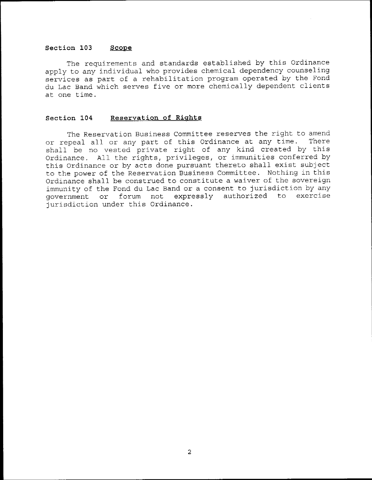### Section 103 Scope

The requirements and standards established by this Ordinance apply to any individual who provides chemical dependency counseling services as part of a rehabilitation program operated by the Fond du Lac Band which serves five or more chemically dependent clients at one time.

### Section 104 Reservation of Rights

The Reservation Business Committee reserves the right to amend<br>poeal all or any part of this Ordinance at any time. There or repeal all or any part of this Ordinance at any time. shall be no vested private right of any kind created by this Ordinance. Atl the rights, privileges, or immunities conferred by this Ordinance or by acts done pursuant thereto shall exist subject to the power of the Reservation Business Committee. Nothing in this Ordinance shall be ccnstrued to constitute a waiver of the sovereign immunity of the Fond du Lac Band or a consent to jurisdiction by any government or forum not, expressly authorized to exercise iurisdiction under this ordinance.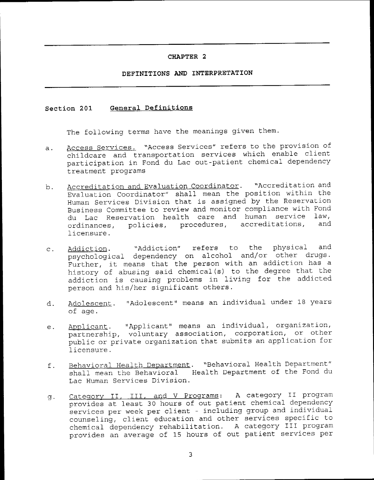### CHAPTER<sub>2</sub>

### DEFINITIONS AND INTERPRETATION

#### General Definitions Section 201

The following terms have the meanings given them.

- Access Services. "Access Services" refers to the provision of  $a.$ childcare and transportation services which enable client participation in Fond du Lac out-patient chemical dependency treatment programs
- Accreditation and Evaluation Coordinator. "Accreditation and  $b$ . Evaluation Coordinator" shall mean the position within the Human Services Division that is assigned by the Reservation Business Committee to review and monitor compliance with Fond du Lac Reservation health care and human service law, policies, procedures, accreditations, and ordinances, licensure.
- "Addiction" refers to physical and the Addiction.  $\mathbf{C}$ . psychological dependency on alcohol and/or other drugs. Further, it means that the person with an addiction has a history of abusing said chemical(s) to the degree that the addiction is causing problems in living for the addicted person and his/her significant others.
- Adolescent. "Adolescent" means an individual under 18 years d. of age.
- Applicant. "Applicant" means an individual, organization,<br>partnership, voluntary association, corporation, or other  $e.$ public or private organization that submits an application for licensure.
- Behavioral Health Department. "Behavioral Health Department" f. shall mean the Behavioral Health Department of the Fond du Lac Human Services Division.
- Category II, III, and V Programs: A category II program g. provides at least 30 hours of out patient chemical dependency services per week per client - including group and individual counseling, client education and other services specific to chemical dependency rehabilitation. A category III program provides an average of 15 hours of out patient services per

 $\overline{3}$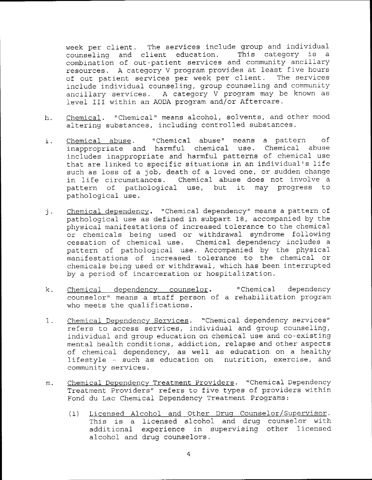week per client. The services include group and individual counseling and client education. This category is a combination of out-patient services and community ancillary resources. A category V program provides at least five hours of out patient services per week per client. The services include individual counseling, group counseling and community ancillary services. A category V program may be known as level III within an AODA program and/or Aftercare.

- Chemical. "Chemical" means alcohol, solvents, and other mood h. altering substances, including controlled substances.
- "Chemical abuse" means a pattern Chemical abuse. оf i. inappropriate and harmful chemical use. Chemical abuse includes inappropriate and harmful patterns of chemical use that are linked to specific situations in an individual's life such as loss of a job, death of a loved one, or sudden change in life circumstances. Chemical abuse does not involve a it may progress to pattern of pathological use, but pathological use.
- Chemical dependency. "Chemical dependency" means a pattern of<br>pathological use as defined in subpart 18, accompanied by the  $j$ . physical manifestations of increased tolerance to the chemical or chemicals being used or withdrawal syndrome following cessation of chemical use. Chemical dependency includes a pattern of pathological use. Accompanied by the physical manifestations of increased tolerance to the chemical or chemicals being used or withdrawal, which has been interrupted by a period of incarceration or hospitalization.
- Chemical dependency counselor. "Chemical dependency"  $\mathsf k$ . counselor" means a staff person of a rehabilitation program who meets the qualifications.
- Chemical Dependency Services. "Chemical dependency services"  $1.$ refers to access services, individual and group counseling, individual and group education on chemical use and co-existing mental health conditions, addiction, relapse and other aspects of chemical dependency, as well as education on a healthy lifestyle - such as education on nutrition, exercise, and community services.
- Chemical Dependency Treatment Providers. "Chemical Dependency  $m$ . Treatment Providers" refers to five types of providers within Fond du Lac Chemical Dependency Treatment Programs:
	- Licensed Alcohol and Other Drug Counselor/Supervisor.  $(1)$ This is a licensed alcohol and drug counselor with additional experience in supervising other licensed alcohol and drug counselors.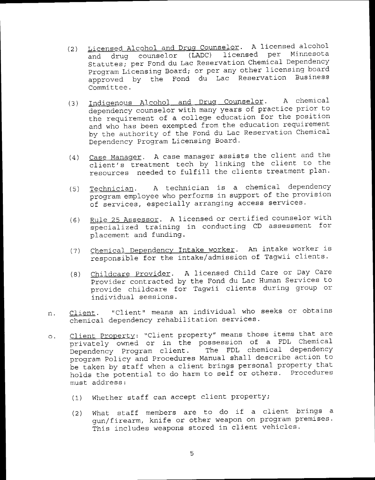- Licensed Alcohol and Drug Counselor. A licensed alcohol  $(2)$ and drug counselor (LADC) licensed per Minnesota Statutes; per Fond du Lac Reservation Chemical Dependency Program Licensing Board; or per any other licensing board approved by the Fond du Lac Reservation Business Committee.
- Indigenous Alcohol and Drug Counselor. A chemical  $(3)$ dependency counselor with many years of practice prior to the requirement of a college education for the position and who has been exempted from the education requirement by the authority of the Fond du Lac Reservation Chemical Dependency Program Licensing Board.
- (4) Case Manager. A case manager assists the client and the client's treatment tech by linking the client to the resources needed to fulfill the clients treatment plan.
- A technician is a chemical dependency Technician.  $(5)$ program employee who performs in support of the provision of services, especially arranging access services.
- Rule 25 Assessor. A licensed or certified counselor with  $(6)$ specialized training in conducting CD assessment for placement and funding.
- Chemical Dependency Intake worker. An intake worker is  $(7)$ responsible for the intake/admission of Tagwii clients.
- Childcare Provider. A licensed Child Care or Day Care  $(8)$ Provider contracted by the Fond du Lac Human Services to provide childcare for Tagwii clients during group or individual sessions.
- "Client" means an individual who seeks or obtains Client. n. chemical dependency rehabilitation services.
- Client Property: "Client property" means those items that are  $\circ$ . privately owned or in the possession of a FDL Chemical Dependency Program client. The FDL chemical dependency program Policy and Procedures Manual shall describe action to be taken by staff when a client brings personal property that holds the potential to do harm to self or others. Procedures must address:
	- (1) Whether staff can accept client property;
	- What staff members are to do if a client brings a  $(2)$ qun/firearm, knife or other weapon on program premises. This includes weapons stored in client vehicles.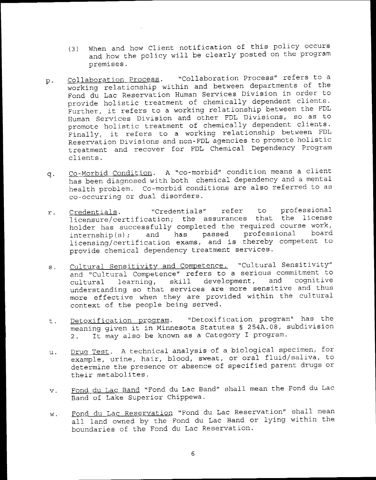- When and how Client notification of this policy occurs  $(3)$ and how the policy will be clearly posted on the program premises.
- "Collaboration Process" refers to a Collaboration Process.  $p$ . working relationship within and between departments of the Fond du Lac Reservation Human Services Division in order to provide holistic treatment of chemically dependent clients. Further, it refers to a working relationship between the FDL Human Services Division and other FDL Divisions, so as to promote holistic treatment of chemically dependent clients. Finally, it refers to a working relationship between FDL Reservation Divisions and non-FDL agencies to promote holistic treatment and recover for FDL Chemical Dependency Program clients.
- Co-Morbid Condition. A "co-morbid" condition means a client  $q<sub>1</sub>$ has been diagnosed with both chemical dependency and a mental health problem. Co-morbid conditions are also referred to as co-occurring or dual disorders.
- to professional "Credentials" refer Credentials.  $r$ . licensure/certification; the assurances that the license holder has successfully completed the required course work, passed professional board has  $internship(s);$ and licensing/certification exams, and is thereby competent to provide chemical dependency treatment services.
- Cultural Sensitivity and Competence. "Cultural Sensitivity"  $s$ . and "Cultural Competence" refers to a serious commitment to development, and cognitive learning, skill cultural understanding so that services are more sensitive and thus more effective when they are provided within the cultural context of the people being served.
- "Detoxification program" has the Detoxification program. t. meaning given it in Minnesota Statutes § 254A.08, subdivision It may also be known as a Category I program.  $2.1$
- Drug Test. A technical analysis of a biological specimen, for u. example, urine, hair, blood, sweat, or oral fluid/saliva, to determine the presence or absence of specified parent drugs or their metabolites.
- Fond du Lac Band "Fond du Lac Band" shall mean the Fond du Lac  $V$ . Band of Lake Superior Chippewa.
- Fond du Lac Reservation "Fond du Lac Reservation" shall mean w. all land owned by the Fond du Lac Band or lying within the boundaries of the Fond du Lac Reservation.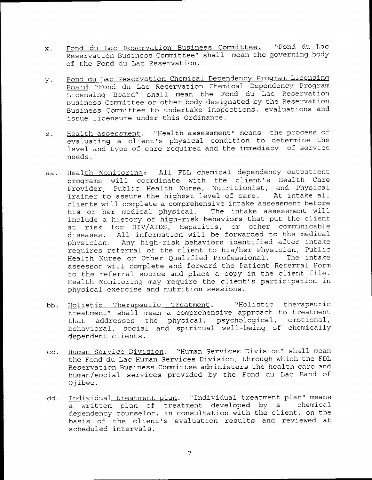- Fond du Lac Reservation Business Committee. "Fond du Lac  $\mathbf{x}$ . Reservation Business Committee" shall mean the governing body of the Fond du Lac Reservation.
- Fond du Lac Reservation Chemical Dependency Program Licensing y. Board "Fond du Lac Reservation Chemical Dependency Program Licensing Board" shall mean the Fond du Lac Reservation Business Committee or other body designated by the Reservation Business Committee to undertake inspections, evaluations and issue licensure under this Ordinance.
- Health assessment. "Health assessment" means the process of  $\mathbf{z}$ . evaluating a client's physical condition to determine the level and type of care required and the immediacy of service needs.
- Health Monitoring: All FDL chemical dependency outpatient aa. programs will coordinate with the client's Health Care Provider, Public Health Nurse, Nutritionist, and Physical Trainer to assure the highest level of care. At intake all clients will complete a comprehensive intake assessment before his or her medical physical. The intake assessment will include a history of high-risk behaviors that put the client at risk for HIV/AIDS, Hepatitis, or other communicable diseases. All information will be forwarded to the medical physician. Any high-risk behaviors identified after intake requires referral of the client to his/her Physician, Public Health Nurse or Other Qualified Professional. The intake assessor will complete and forward the Patient Referral Form to the referral source and place a copy in the client file. Health Monitoring may require the client's participation in physical exercise and nutrition sessions.
- "Holistic therapeutic bb. Holistic Therapeutic Treatment. treatment" shall mean a comprehensive approach to treatment addresses the physical, psychological, emotional, that behavioral, social and spiritual well-being of chemically dependent clients.
- Human Service Division. "Human Services Division" shall mean  $cc.$ the Fond du Lac Human Services Division, through which the FDL Reservation Business Committee administers the health care and human/social services provided by the Fond du Lac Band of Ojibwe.
- Individual\_treatment\_plan. "Individual\_treatment\_plan" means dd. chemical a written plan of treatment developed by a dependency counselor, in consultation with the client, on the basis of the client's evaluation results and reviewed at scheduled intervals.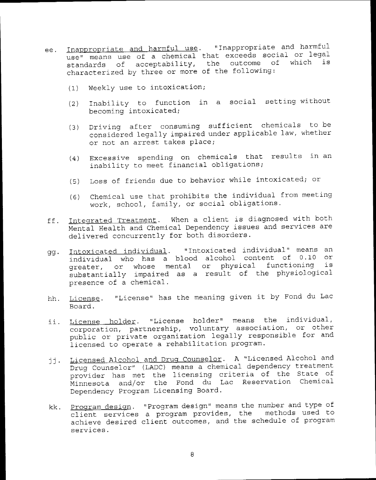- Inappropriate and harmful use. "Inappropriate and harmful ee. use" means use of a chemical that exceeds social or legal standards of acceptability, the outcome of which  $is$ characterized by three or more of the following:
	- Weekly use to intoxication;  $(1)$
	- (2) Inability to function in a social setting without becoming intoxicated;
	- Driving after consuming sufficient chemicals to be  $(3)$ considered legally impaired under applicable law, whether or not an arrest takes place;
	- (4) Excessive spending on chemicals that results in an inability to meet financial obligations;
	- (5) Loss of friends due to behavior while intoxicated; or
	- (6) Chemical use that prohibits the individual from meeting work, school, family, or social obligations.
- Integrated Treatment. When a client is diagnosed with both ff. Mental Health and Chemical Dependency issues and services are delivered concurrently for both disorders.
- Intoxicated individual. "Intoxicated individual" means an gg. individual who has a blood alcohol content of 0.10 or greater, or whose mental or physical functioning is substantially impaired as a result of the physiological presence of a chemical.
- hh. License. "License" has the meaning given it by Fond du Lac Board.
- License holder. "License holder" means the individual, ii. corporation, partnership, voluntary association, or other public or private organization legally responsible for and licensed to operate a rehabilitation program.
- Licensed Alcohol and Drug Counselor. A "Licensed Alcohol and jj. Drug Counselor" (LADC) means a chemical dependency treatment provider has met the licensing criteria of the State of Minnesota and/or the Fond du Lac Reservation Chemical Dependency Program Licensing Board.
- Program design. "Program design" means the number and type of kk. client services a program provides, the methods used to achieve desired client outcomes, and the schedule of program services.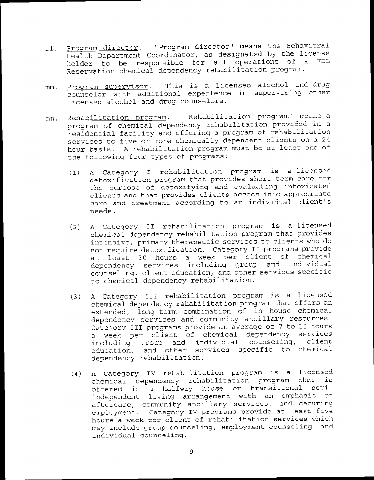- 11. Program director. "Program director" means the Behavioral HeaIth Department Coordinator, as designated by the license holder to be responsible for all operations of a FDL Reservation chemical dependency rehabilitation program.
- mm. <u>Program supervisor</u>. This is a licensed alcohol and drug counselor with additional experience in supervising other licensed alcohol and drug counselors.
- Rehabilitation program. "Rehabilitation program" means a nn. program of chemical dependency rehabilitation provided in a residential facility and offering a program of rehabilitation services to five or more chemically dependent clients on a 24 hour basis. A rehabilitation program must be at least one of the following four types of programs:
	- (1) A Category I rehabilitation program is a licensed detoxification program that provides short-term care for the purpose of detoxifying and evaluating intoxicated clients and that provides clients access into appropriate care and treatment according to an individual client's needs.
	- (2) A Category II rehabilitation program is a Iicensed chemical dependency rehabilitation program that provides intensive, primary therapeutic services to clients who do not require detoxification. Category II programs provide at least 30 hours a week per client of chemical dependency services including group and individu counseling, client education, and other services specific to chemical dependency rehabilitation.
	- A Category III rehabilitation program is a licensed chemical dependency rehabilitation program that offers an extended, long-term combination of in house chemicaldependency services and community ancillary resources. Category III programs provide an average of 7 to 15 hours a week per client of chemical dependency services including group and individual counseling, client education, and other services specific to chemical dependency rehabilitation. (3)
	- (4) A Category IV rehabilitation program is a license n cacegory in remanatement in the program that i offered in a halfway house or transitional semiindependent living arrangement with an emphasis on aftercare, community ancillary services, and securi employment. Category IV programs provide at least five hours a week per client of rehabilitation services which may include group counseling, employment counseling, and individual counseling.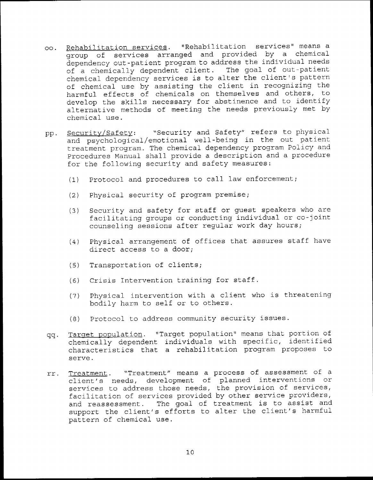- oo. Rehabilitation services. "Rehabilitation services" means a group of services arranged and provided by a chemical dependency out-patient program to address the individual needs of a chemically dependent client. The goal of out-patient chemical dependency services is to alter the client's pattern of chemical use by assisting the client in recognizing the harmful effects of chemicals on themselves and others, to develop the skills necessary for abstinence and to identify alternative methods of meeting the needs previously met by chemical use.
- "Security and Safety" refers to physical pp. Security/Safety: and psychological/emotional well-being in the out patient treatment program. The chemical dependency program Policy and Procedures Manual shall provide a description and a procedure for the following security and safety measures:
	- Protocol and procedures to call law enforcement;  $(1)$
	- Physical security of program premise;  $(2)$
	- Security and safety for staff or guest speakers who are  $(3)$ facilitating groups or conducting individual or co-joint counseling sessions after reqular work day hours;
	- Physical arrangement of offices that assures staff have  $(4)$ direct access to a door;
	- Transportation of clients;  $(5)$
	- (6) Crisis Intervention training for staff.
	- Physical intervention with a client who is threatening  $(7)$ bodily harm to self or to others.
	- (8) Protocol to address community security issues.
- Target population. "Target population" means that portion of qq. chemically dependent individuals with specific, identified characteristics that a rehabilitation program proposes to serve.
- Treatment. "Treatment" means a process of assessment of a rr. client's needs, development of planned interventions or services to address those needs, the provision of services, facilitation of services provided by other service providers, and reassessment. The goal of treatment is to assist and support the client's efforts to alter the client's harmful pattern of chemical use.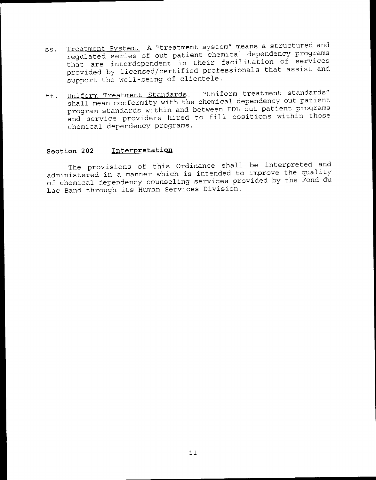- Treatment System. A "treatment system" means a structured and SS. regulated series of out patient chemical dependency programs that are interdependent in their facilitation of services provided by licensed/certified professionals that assist and support the well-being of clientele.
- "Uniform treatment standards" tt. Uniform Treatment Standards. shall mean conformity with the chemical dependency out patient program standards within and between FDL out patient programs and service providers hired to fill positions within those chemical dependency programs.

#### Interpretation Section 202

The provisions of this Ordinance shall be interpreted and administered in a manner which is intended to improve the quality of chemical dependency counseling services provided by the Fond du Lac Band through its Human Services Division.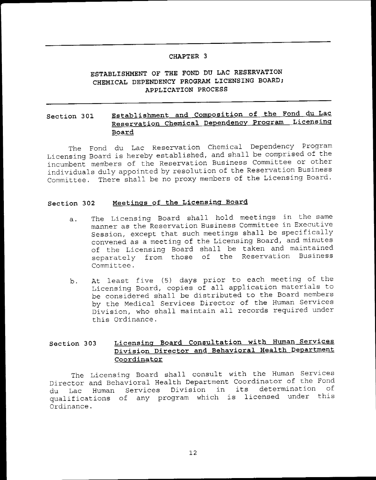### CHAPTER 3

## ESTABLISHMENT OF THE FOND DU LAC RESERVATION CHEMICAL DEPENDENCY PROGRAM LICENSING BOARD: APPLICATION PROCESS

### Establishment and Composition of the Fond du Lac Section 301 Reservation Chemical Dependency Program Licensing Board

The Fond du Lac Reservation Chemical Dependency Program Licensing Board is hereby established, and shall be comprised of the incumbent members of the Reservation Business Committee or other individuals duly appointed by resolution of the Reservation Business Committee. There shall be no proxy members of the Licensing Board.

#### Meetings of the Licensing Board Section 302

- The Licensing Board shall hold meetings in the same  $a.$ manner as the Reservation Business Committee in Executive Session, except that such meetings shall be specifically convened as a meeting of the Licensing Board, and minutes of the Licensing Board shall be taken and maintained separately from those of the Reservation Business Committee.
- At least five (5) days prior to each meeting of the b. Licensing Board, copies of all application materials to be considered shall be distributed to the Board members by the Medical Services Director of the Human Services Division, who shall maintain all records required under this Ordinance.

#### Licensing Board Consultation with Human Services Section 303 Division Director and Behavioral Health Department Coordinator

The Licensing Board shall consult with the Human Services Director and Behavioral Health Department Coordinator of the Fond Human Services Division in its determination оf du Lac qualifications of any program which is licensed under this Ordinance.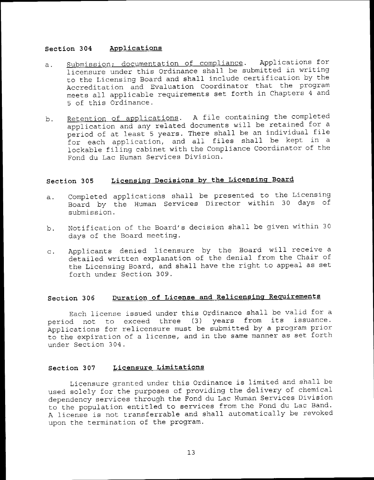#### Section 304 Applications

- Submission; documentation of compliance. Applications for  $\ddot{a}$ . licensure under this Ordinance shall be submitted in writing to the Licensing Board and shall include certification by the Accreditation and Evaluation Coordinator that the program meets all applicable requirements set forth in Chapters 4 and 5 of this Ordinance.
- Retention of applications. A file containing the completed b. application and any related documents will be retained for a period of at least 5 years. There shall be an individual file for each application, and all files shall be kept in a lockable filing cabinet with the Compliance Coordinator of the Fond du Lac Human Services Division.

#### Licensing Decisions by the Licensing Board Section 305

- Completed applications shall be presented to the Licensing  $a.$ Board by the Human Services Director within 30 days of submission.
- Notification of the Board's decision shall be given within 30 b. days of the Board meeting.
- Applicants denied licensure by the Board will receive a  $\mathbf{C}$ . detailed written explanation of the denial from the Chair of the Licensing Board, and shall have the right to appeal as set forth under Section 309.

#### Duration of License and Relicensing Requirements Section 306

Each license issued under this Ordinance shall be valid for a period not to exceed three (3) years from its issuance. Applications for relicensure must be submitted by a program prior to the expiration of a license, and in the same manner as set forth under Section 304.

#### Licensure Limitations Section 307

Licensure granted under this Ordinance is limited and shall be used solely for the purposes of providing the delivery of chemical dependency services through the Fond du Lac Human Services Division to the population entitled to services from the Fond du Lac Band. A license is not transferrable and shall automatically be revoked upon the termination of the program.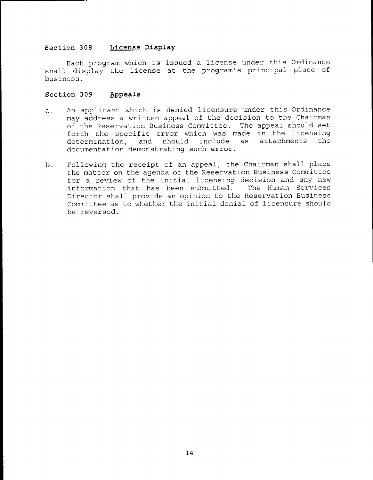### Section 308 License Display

Each program which is issued a license under this Ordinance shall display the license at the program's principal place of business.

### Section 309 Appeale

- An applicant which is denied licensure under this Ordinance  $a.$ may address a written appeal of the decision to the Chairman of the Reservation Business Committee. The appeal should set forth the specific error which was made in the licensing<br>determination, and should include as attachments the should include documentation demonstratinq such error.
- b . Following the receipt of an appeal, the Chairman shall place the matter on the agenda of the Reservation Business Committee for a review of the initial licensing decision and any new information that has been submitted. The Human Services Director shall provide an opinion to the Reservation Business Committee as to whether the initial denial of licensure should be reversed.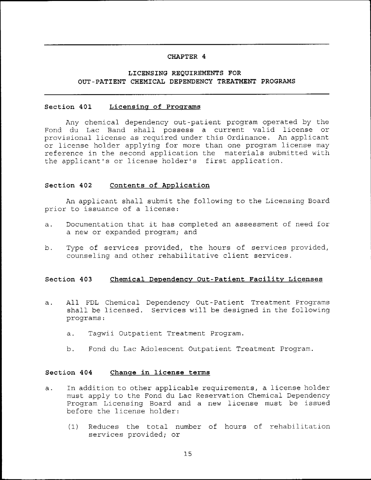### CHAPTER 4

## LICENSING REQUIREMENTS FOR OUT-PATIENT CHEMICAL DEPENDENCY TREATMENT PROGRAMS

#### Section 401 Licensing of Programs

Any chemical dependency out-patient program operated by the Fond du Lac Band shall possess a current valid license or provisional license as required under this Ordinance. An applicant or license holder applying for more than one program license may reference in the second application the materials submitted with the applicant's or license holder's first application.

#### Section 402 Contents of Application

An applicant shall submit the following to the Licensing Board prior to issuance of a license:

- Documentation that it has completed an assessment of need for  $a<sub>x</sub>$ a new or expanded program; and
- Type of services provided, the hours of services provided,  $b.$ counseling and other rehabilitative client services.

#### Section 403 Chemical Dependency Out-Patient Facility Licenses

- All FDL Chemical Dependency Out-Patient Treatment Programs  $a.$ shall be licensed. Services will be designed in the following programs:
	- Tagwii Outpatient Treatment Program.  $a.$
	- Fond du Lac Adolescent Outpatient Treatment Program. b.

#### Section 404 Change in license terms

- In addition to other applicable requirements, a license holder  $a.$ must apply to the Fond du Lac Reservation Chemical Dependency Program Licensing Board and a new license must be issued before the license holder:
	- Reduces the total number of hours of rehabilitation  $(1)$ services provided; or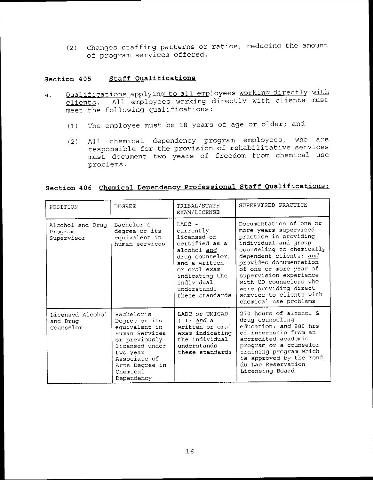changes staffing patterns or ratios, reducing the amount (2) of program services offered.

## Section 405 Staff Oualificatione

- a. Qualifications applying to all employees working directly with clients. All employees working directly with clients must meet the following qualifications :
	- (1) The employee must be 18 years of age or older; and
	- (2) AIl chemical dependency program employees, who are responsible for the provision of rehabilitative services must document two years of freedom from chemical- use problems.

# Section 406 Chemical Dependency Professional Staff Qualifications:

| POSITION                                  | DEGREE                                                                                                                                                                    | TRIBAL/STATE<br>EXAM/LICENSE                                                                                                                                                                | SUPERVISED PRACTICE                                                                                                                                                                                                                                                                                                                          |
|-------------------------------------------|---------------------------------------------------------------------------------------------------------------------------------------------------------------------------|---------------------------------------------------------------------------------------------------------------------------------------------------------------------------------------------|----------------------------------------------------------------------------------------------------------------------------------------------------------------------------------------------------------------------------------------------------------------------------------------------------------------------------------------------|
| Alcohol and Drug<br>Program<br>Supervisor | Bachelor's<br>degree or its<br>equivalent in<br>human services                                                                                                            | $IADC -$<br>currently<br>licensed or<br>certified as a<br>alcohol and<br>drug counselor,<br>and a written<br>or oral exam<br>indicating the<br>individual<br>understands<br>these standards | Documentation of one or<br>more years supervised<br>practice in providing<br>individual and group<br>counseling to chemically<br>dependent clients; and<br>provides documentation<br>of one or more year of<br>supervision experience<br>with CD counselors who<br>were providing direct<br>service to clients with<br>chemical use problems |
| Licensed Alcohol<br>and Drug<br>Counselor | Bachelor's<br>Degree or its<br>equivalent in<br>Human Services<br>or previously<br>licensed under<br>two year<br>Associate of<br>Arts Degree in<br>Chemical<br>Dependency | LADC or UMICAD<br>III; and a<br>written or oral<br>exam indicating<br>the individual<br>understands<br>these standards                                                                      | 270 hours of alcohol &<br>drug counseling<br>education; and 880 hrs<br>of internship from an<br>accredited academic<br>program or a counselor<br>training program which<br>is approved by the Fond<br>du Lac Reservation<br>Licensing Board                                                                                                  |